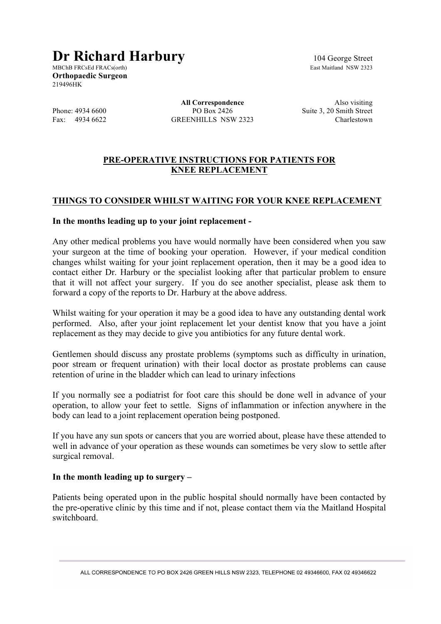# **Dr Richard Harbury** 104 George Street<br>MRCbB FRCsEd FRACs(orth)

MBChB FRCsEd FRACs(orth) **Orthopaedic Surgeon** 219496HK

**All Correspondence** Also visiting Phone: 4934 6600 PO Box 2426 Suite 3, 20 Smith Street Fax: 4934 6622 GREENHILLS NSW 2323 Charlestown

## **PRE-OPERATIVE INSTRUCTIONS FOR PATIENTS FOR KNEE REPLACEMENT**

# **THINGS TO CONSIDER WHILST WAITING FOR YOUR KNEE REPLACEMENT**

#### **In the months leading up to your joint replacement -**

Any other medical problems you have would normally have been considered when you saw your surgeon at the time of booking your operation. However, if your medical condition changes whilst waiting for your joint replacement operation, then it may be a good idea to contact either Dr. Harbury or the specialist looking after that particular problem to ensure that it will not affect your surgery. If you do see another specialist, please ask them to forward a copy of the reports to Dr. Harbury at the above address.

Whilst waiting for your operation it may be a good idea to have any outstanding dental work performed. Also, after your joint replacement let your dentist know that you have a joint replacement as they may decide to give you antibiotics for any future dental work.

Gentlemen should discuss any prostate problems (symptoms such as difficulty in urination, poor stream or frequent urination) with their local doctor as prostate problems can cause retention of urine in the bladder which can lead to urinary infections

If you normally see a podiatrist for foot care this should be done well in advance of your operation, to allow your feet to settle. Signs of inflammation or infection anywhere in the body can lead to a joint replacement operation being postponed.

If you have any sun spots or cancers that you are worried about, please have these attended to well in advance of your operation as these wounds can sometimes be very slow to settle after surgical removal.

#### **In the month leading up to surgery –**

Patients being operated upon in the public hospital should normally have been contacted by the pre-operative clinic by this time and if not, please contact them via the Maitland Hospital switchboard.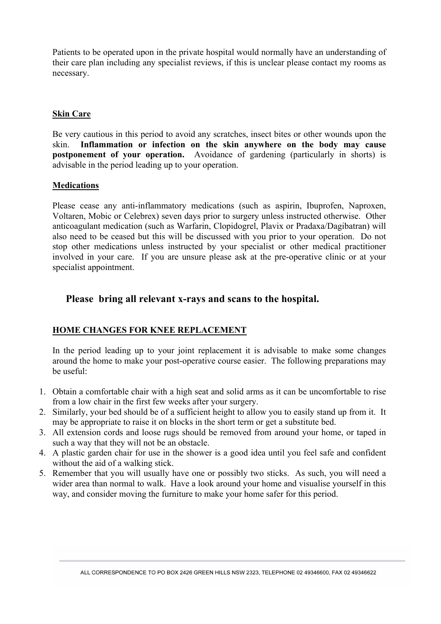Patients to be operated upon in the private hospital would normally have an understanding of their care plan including any specialist reviews, if this is unclear please contact my rooms as necessary.

#### **Skin Care**

Be very cautious in this period to avoid any scratches, insect bites or other wounds upon the skin. **Inflammation or infection on the skin anywhere on the body may cause postponement of your operation.** Avoidance of gardening (particularly in shorts) is advisable in the period leading up to your operation.

#### **Medications**

Please cease any anti-inflammatory medications (such as aspirin, Ibuprofen, Naproxen, Voltaren, Mobic or Celebrex) seven days prior to surgery unless instructed otherwise. Other anticoagulant medication (such as Warfarin, Clopidogrel, Plavix or Pradaxa/Dagibatran) will also need to be ceased but this will be discussed with you prior to your operation. Do not stop other medications unless instructed by your specialist or other medical practitioner involved in your care. If you are unsure please ask at the pre-operative clinic or at your specialist appointment.

### **Please bring all relevant x-rays and scans to the hospital.**

#### **HOME CHANGES FOR KNEE REPLACEMENT**

In the period leading up to your joint replacement it is advisable to make some changes around the home to make your post-operative course easier. The following preparations may be useful:

- 1. Obtain a comfortable chair with a high seat and solid arms as it can be uncomfortable to rise from a low chair in the first few weeks after your surgery.
- 2. Similarly, your bed should be of a sufficient height to allow you to easily stand up from it. It may be appropriate to raise it on blocks in the short term or get a substitute bed.
- 3. All extension cords and loose rugs should be removed from around your home, or taped in such a way that they will not be an obstacle.
- 4. A plastic garden chair for use in the shower is a good idea until you feel safe and confident without the aid of a walking stick.
- 5. Remember that you will usually have one or possibly two sticks. As such, you will need a wider area than normal to walk. Have a look around your home and visualise yourself in this way, and consider moving the furniture to make your home safer for this period.